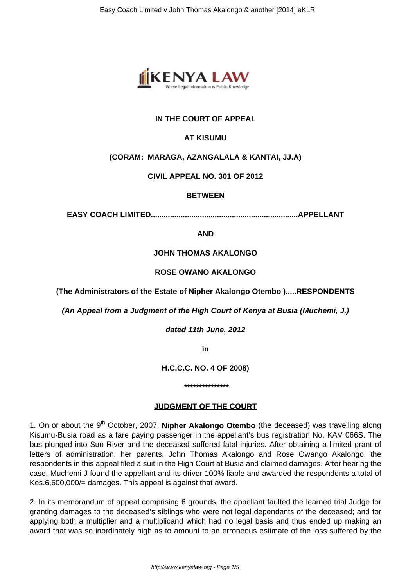

# **IN THE COURT OF APPEAL**

# **AT KISUMU**

### **(CORAM: MARAGA, AZANGALALA & KANTAI, JJ.A)**

### **CIVIL APPEAL NO. 301 OF 2012**

### **BETWEEN**

**EASY COACH LIMITED.....................................................................APPELLANT**

**AND**

### **JOHN THOMAS AKALONGO**

### **ROSE OWANO AKALONGO**

**(The Administrators of the Estate of Nipher Akalongo Otembo ).....RESPONDENTS**

**(An Appeal from a Judgment of the High Court of Kenya at Busia (Muchemi, J.)**

**dated 11th June, 2012**

**in**

**H.C.C.C. NO. 4 OF 2008)**

**\*\*\*\*\*\*\*\*\*\*\*\*\*\*\***

# **JUDGMENT OF THE COURT**

1. On or about the 9<sup>th</sup> October, 2007, **Nipher Akalongo Otembo** (the deceased) was travelling along Kisumu-Busia road as a fare paying passenger in the appellant's bus registration No. KAV 066S. The bus plunged into Suo River and the deceased suffered fatal injuries. After obtaining a limited grant of letters of administration, her parents, John Thomas Akalongo and Rose Owango Akalongo, the respondents in this appeal filed a suit in the High Court at Busia and claimed damages. After hearing the case, Muchemi J found the appellant and its driver 100% liable and awarded the respondents a total of Kes.6,600,000/= damages. This appeal is against that award.

2. In its memorandum of appeal comprising 6 grounds, the appellant faulted the learned trial Judge for granting damages to the deceased's siblings who were not legal dependants of the deceased; and for applying both a multiplier and a multiplicand which had no legal basis and thus ended up making an award that was so inordinately high as to amount to an erroneous estimate of the loss suffered by the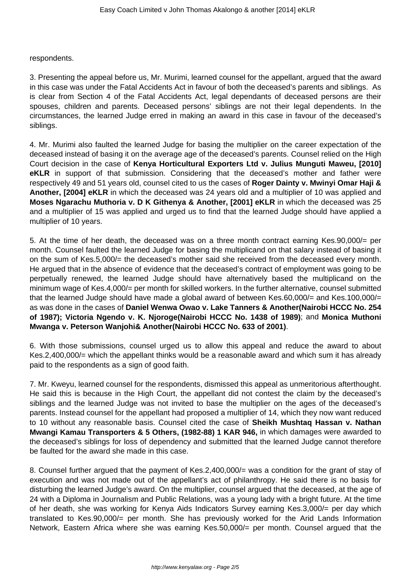respondents.

3. Presenting the appeal before us, Mr. Murimi, learned counsel for the appellant, argued that the award in this case was under the Fatal Accidents Act in favour of both the deceased's parents and siblings. As is clear from Section 4 of the Fatal Accidents Act, legal dependants of deceased persons are their spouses, children and parents. Deceased persons' siblings are not their legal dependents. In the circumstances, the learned Judge erred in making an award in this case in favour of the deceased's siblings.

4. Mr. Murimi also faulted the learned Judge for basing the multiplier on the career expectation of the deceased instead of basing it on the average age of the deceased's parents. Counsel relied on the High Court decision in the case of **Kenya Horticultural Exporters Ltd v. Julius Munguti Maweu, [2010] eKLR** in support of that submission. Considering that the deceased's mother and father were respectively 49 and 51 years old, counsel cited to us the cases of **Roger Dainty v. Mwinyi Omar Haji & Another, [2004] eKLR** in which the deceased was 24 years old and a multiplier of 10 was applied and **Moses Ngarachu Muthoria v. D K Githenya & Another, [2001] eKLR** in which the deceased was 25 and a multiplier of 15 was applied and urged us to find that the learned Judge should have applied a multiplier of 10 years.

5. At the time of her death, the deceased was on a three month contract earning Kes.90,000/= per month. Counsel faulted the learned Judge for basing the multiplicand on that salary instead of basing it on the sum of Kes.5,000/= the deceased's mother said she received from the deceased every month. He argued that in the absence of evidence that the deceased's contract of employment was going to be perpetually renewed, the learned Judge should have alternatively based the multiplicand on the minimum wage of Kes.4,000/= per month for skilled workers. In the further alternative, counsel submitted that the learned Judge should have made a global award of between Kes.60,000/= and Kes.100,000/= as was done in the cases of **Daniel Wenwa Owao v. Lake Tanners & Another(Nairobi HCCC No. 254 of 1987); Victoria Ngendo v. K. Njoroge(Nairobi HCCC No. 1438 of 1989)**; and **Monica Muthoni Mwanga v. Peterson Wanjohi& Another(Nairobi HCCC No. 633 of 2001)**.

6. With those submissions, counsel urged us to allow this appeal and reduce the award to about Kes.2,400,000/= which the appellant thinks would be a reasonable award and which sum it has already paid to the respondents as a sign of good faith.

7. Mr. Kweyu, learned counsel for the respondents, dismissed this appeal as unmeritorious afterthought. He said this is because in the High Court, the appellant did not contest the claim by the deceased's siblings and the learned Judge was not invited to base the multiplier on the ages of the deceased's parents. Instead counsel for the appellant had proposed a multiplier of 14, which they now want reduced to 10 without any reasonable basis. Counsel cited the case of **Sheikh Mushtaq Hassan v. Nathan Mwangi Kamau Transporters & 5 Others, (1982-88) 1 KAR 946,** in which damages were awarded to the deceased's siblings for loss of dependency and submitted that the learned Judge cannot therefore be faulted for the award she made in this case.

8. Counsel further argued that the payment of Kes.2,400,000/= was a condition for the grant of stay of execution and was not made out of the appellant's act of philanthropy. He said there is no basis for disturbing the learned Judge's award. On the multiplier, counsel argued that the deceased, at the age of 24 with a Diploma in Journalism and Public Relations, was a young lady with a bright future. At the time of her death, she was working for Kenya Aids Indicators Survey earning Kes.3,000/= per day which translated to Kes.90,000/= per month. She has previously worked for the Arid Lands Information Network, Eastern Africa where she was earning Kes.50,000/= per month. Counsel argued that the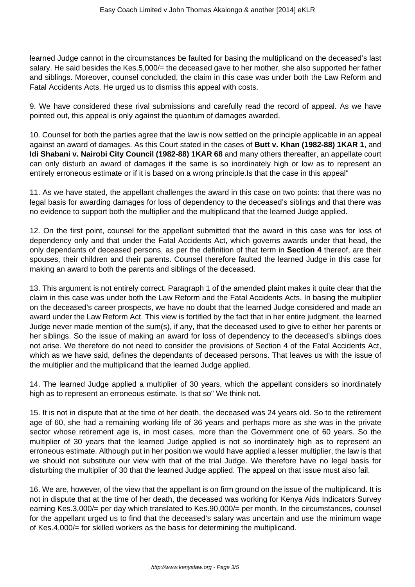learned Judge cannot in the circumstances be faulted for basing the multiplicand on the deceased's last salary. He said besides the Kes.5,000/= the deceased gave to her mother, she also supported her father and siblings. Moreover, counsel concluded, the claim in this case was under both the Law Reform and Fatal Accidents Acts. He urged us to dismiss this appeal with costs.

9. We have considered these rival submissions and carefully read the record of appeal. As we have pointed out, this appeal is only against the quantum of damages awarded.

10. Counsel for both the parties agree that the law is now settled on the principle applicable in an appeal against an award of damages. As this Court stated in the cases of **Butt v. Khan (1982-88) 1KAR 1**, and **Idi Shabani v. Nairobi City Council (1982-88) 1KAR 68** and many others thereafter, an appellate court can only disturb an award of damages if the same is so inordinately high or low as to represent an entirely erroneous estimate or if it is based on a wrong principle.Is that the case in this appeal"

11. As we have stated, the appellant challenges the award in this case on two points: that there was no legal basis for awarding damages for loss of dependency to the deceased's siblings and that there was no evidence to support both the multiplier and the multiplicand that the learned Judge applied.

12. On the first point, counsel for the appellant submitted that the award in this case was for loss of dependency only and that under the Fatal Accidents Act, which governs awards under that head, the only dependants of deceased persons, as per the definition of that term in **Section 4** thereof, are their spouses, their children and their parents. Counsel therefore faulted the learned Judge in this case for making an award to both the parents and siblings of the deceased.

13. This argument is not entirely correct. Paragraph 1 of the amended plaint makes it quite clear that the claim in this case was under both the Law Reform and the Fatal Accidents Acts. In basing the multiplier on the deceased's career prospects, we have no doubt that the learned Judge considered and made an award under the Law Reform Act. This view is fortified by the fact that in her entire judgment, the learned Judge never made mention of the sum(s), if any, that the deceased used to give to either her parents or her siblings. So the issue of making an award for loss of dependency to the deceased's siblings does not arise. We therefore do not need to consider the provisions of Section 4 of the Fatal Accidents Act, which as we have said, defines the dependants of deceased persons. That leaves us with the issue of the multiplier and the multiplicand that the learned Judge applied.

14. The learned Judge applied a multiplier of 30 years, which the appellant considers so inordinately high as to represent an erroneous estimate. Is that so" We think not.

15. It is not in dispute that at the time of her death, the deceased was 24 years old. So to the retirement age of 60, she had a remaining working life of 36 years and perhaps more as she was in the private sector whose retirement age is, in most cases, more than the Government one of 60 years. So the multiplier of 30 years that the learned Judge applied is not so inordinately high as to represent an erroneous estimate. Although put in her position we would have applied a lesser multiplier, the law is that we should not substitute our view with that of the trial Judge. We therefore have no legal basis for disturbing the multiplier of 30 that the learned Judge applied. The appeal on that issue must also fail.

16. We are, however, of the view that the appellant is on firm ground on the issue of the multiplicand. It is not in dispute that at the time of her death, the deceased was working for Kenya Aids Indicators Survey earning Kes.3,000/= per day which translated to Kes.90,000/= per month. In the circumstances, counsel for the appellant urged us to find that the deceased's salary was uncertain and use the minimum wage of Kes.4,000/= for skilled workers as the basis for determining the multiplicand.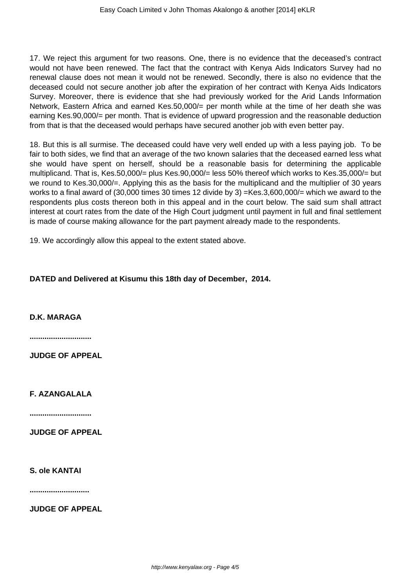17. We reject this argument for two reasons. One, there is no evidence that the deceased's contract would not have been renewed. The fact that the contract with Kenya Aids Indicators Survey had no renewal clause does not mean it would not be renewed. Secondly, there is also no evidence that the deceased could not secure another job after the expiration of her contract with Kenya Aids Indicators Survey. Moreover, there is evidence that she had previously worked for the Arid Lands Information Network, Eastern Africa and earned Kes.50,000/= per month while at the time of her death she was earning Kes.90,000/= per month. That is evidence of upward progression and the reasonable deduction from that is that the deceased would perhaps have secured another job with even better pay.

18. But this is all surmise. The deceased could have very well ended up with a less paying job. To be fair to both sides, we find that an average of the two known salaries that the deceased earned less what she would have spent on herself, should be a reasonable basis for determining the applicable multiplicand. That is, Kes.50,000/= plus Kes.90,000/= less 50% thereof which works to Kes.35,000/= but we round to Kes.30,000/=. Applying this as the basis for the multiplicand and the multiplier of 30 years works to a final award of (30,000 times 30 times 12 divide by 3) =Kes.3,600,000/= which we award to the respondents plus costs thereon both in this appeal and in the court below. The said sum shall attract interest at court rates from the date of the High Court judgment until payment in full and final settlement is made of course making allowance for the part payment already made to the respondents.

19. We accordingly allow this appeal to the extent stated above.

#### **DATED and Delivered at Kisumu this 18th day of December, 2014.**

**D.K. MARAGA**

**.............................**

**JUDGE OF APPEAL**

**F. AZANGALALA**

**.............................**

**JUDGE OF APPEAL**

**S. ole KANTAI**

**............................**

**JUDGE OF APPEAL**